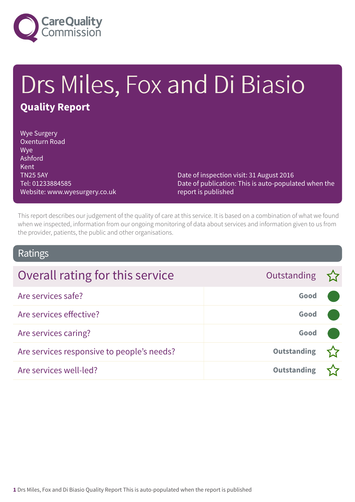

# Drs Miles, Fox and Di Biasio **Quality Report**

Wye Surgery Oxenturn Road Wye Ashford Kent TN25 5AY Tel: 01233884585 Website: www.wyesurgery.co.uk

Date of inspection visit: 31 August 2016 Date of publication: This is auto-populated when the report is published

This report describes our judgement of the quality of care at this service. It is based on a combination of what we found when we inspected, information from our ongoing monitoring of data about services and information given to us from the provider, patients, the public and other organisations.

### Ratings

| Overall rating for this service            | Outstanding        |  |
|--------------------------------------------|--------------------|--|
| Are services safe?                         | Good               |  |
| Are services effective?                    | Good               |  |
| Are services caring?                       | Good               |  |
| Are services responsive to people's needs? | <b>Outstanding</b> |  |
| Are services well-led?                     | <b>Outstanding</b> |  |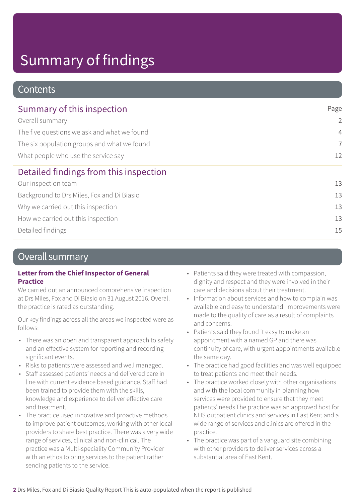### **Contents**

| Page                 |
|----------------------|
| $\overline{2}$       |
| $\overline{4}$       |
| $\overline{7}$<br>12 |
|                      |
| 13                   |
| 13                   |
| 13                   |
| 13                   |
| 15                   |
|                      |

### Overall summary

#### **Letter from the Chief Inspector of General Practice**

We carried out an announced comprehensive inspection at Drs Miles, Fox and Di Biasio on 31 August 2016. Overall the practice is rated as outstanding.

Our key findings across all the areas we inspected were as follows:

- There was an open and transparent approach to safety and an effective system for reporting and recording significant events.
- Risks to patients were assessed and well managed.
- Staff assessed patients' needs and delivered care in line with current evidence based guidance. Staff had been trained to provide them with the skills, knowledge and experience to deliver effective care and treatment.
- The practice used innovative and proactive methods to improve patient outcomes, working with other local providers to share best practice. There was a very wide range of services, clinical and non-clinical. The practice was a Multi-speciality Community Provider with an ethos to bring services to the patient rather sending patients to the service.
- Patients said they were treated with compassion, dignity and respect and they were involved in their care and decisions about their treatment.
- Information about services and how to complain was available and easy to understand. Improvements were made to the quality of care as a result of complaints and concerns.
- Patients said they found it easy to make an appointment with a named GP and there was continuity of care, with urgent appointments available the same day.
- The practice had good facilities and was well equipped to treat patients and meet their needs.
- The practice worked closely with other organisations and with the local community in planning how services were provided to ensure that they meet patients' needs.The practice was an approved host for NHS outpatient clinics and services in East Kent and a wide range of services and clinics are offered in the practice.
- The practice was part of a vanguard site combining with other providers to deliver services across a substantial area of East Kent.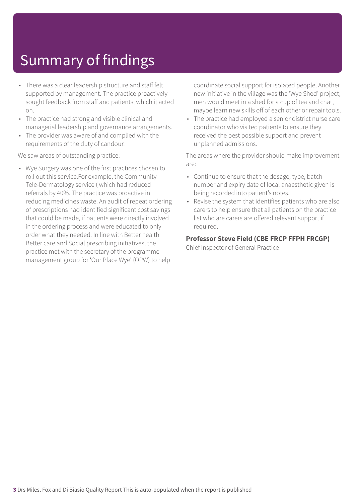- There was a clear leadership structure and staff felt supported by management. The practice proactively sought feedback from staff and patients, which it acted on.
- The practice had strong and visible clinical and managerial leadership and governance arrangements.
- The provider was aware of and complied with the requirements of the duty of candour.

We saw areas of outstanding practice:

• Wye Surgery was one of the first practices chosen to roll out this service.For example, the Community Tele-Dermatology service ( which had reduced referrals by 40%. The practice was proactive in reducing medicines waste. An audit of repeat ordering of prescriptions had identified significant cost savings that could be made, if patients were directly involved in the ordering process and were educated to only order what they needed. In line with Better health Better care and Social prescribing initiatives, the practice met with the secretary of the programme management group for 'Our Place Wye' (OPW) to help

coordinate social support for isolated people. Another new initiative in the village was the 'Wye Shed' project; men would meet in a shed for a cup of tea and chat, maybe learn new skills off of each other or repair tools.

• The practice had employed a senior district nurse care coordinator who visited patients to ensure they received the best possible support and prevent unplanned admissions.

The areas where the provider should make improvement are:

- Continue to ensure that the dosage, type, batch number and expiry date of local anaesthetic given is being recorded into patient's notes.
- Revise the system that identifies patients who are also carers to help ensure that all patients on the practice list who are carers are offered relevant support if required.

### **Professor Steve Field (CBE FRCP FFPH FRCGP)**

Chief Inspector of General Practice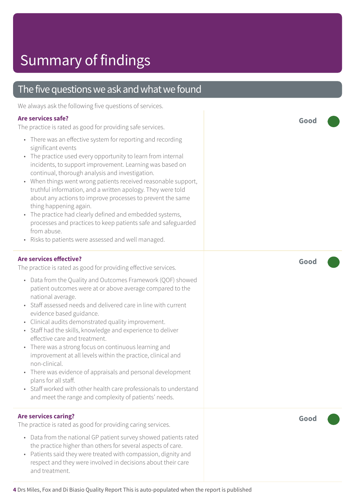### The five questions we ask and what we found

We always ask the following five questions of services.

#### **Are services safe?**

The practice is rated as good for providing safe services.

- There was an effective system for reporting and recording significant events
- The practice used every opportunity to learn from internal incidents, to support improvement. Learning was based on continual, thorough analysis and investigation.
- When things went wrong patients received reasonable support, truthful information, and a written apology. They were told about any actions to improve processes to prevent the same thing happening again.
- The practice had clearly defined and embedded systems, processes and practices to keep patients safe and safeguarded from abuse.
- Risks to patients were assessed and well managed.

#### **Are services effective?**

The practice is rated as good for providing effective services.

- Data from the Quality and Outcomes Framework (QOF) showed patient outcomes were at or above average compared to the national average.
- Staff assessed needs and delivered care in line with current evidence based guidance.
- Clinical audits demonstrated quality improvement.
- Staff had the skills, knowledge and experience to deliver effective care and treatment.
- There was a strong focus on continuous learning and improvement at all levels within the practice, clinical and non-clinical.
- There was evidence of appraisals and personal development plans for all staff.
- Staff worked with other health care professionals to understand and meet the range and complexity of patients' needs.

#### **Are services caring?**

The practice is rated as good for providing caring services.

- Data from the national GP patient survey showed patients rated the practice higher than others for several aspects of care.
- Patients said they were treated with compassion, dignity and respect and they were involved in decisions about their care and treatment.

**Good –––**

**Good –––**

**Good –––**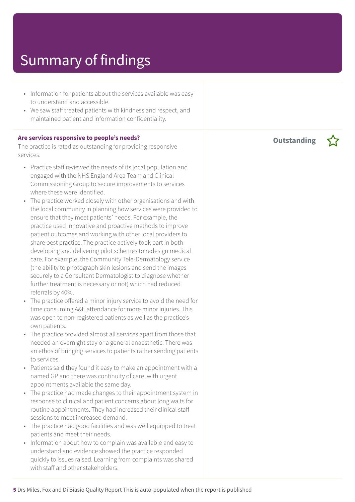- Information for patients about the services available was easy to understand and accessible.
- We saw staff treated patients with kindness and respect, and maintained patient and information confidentiality.

#### **Are services responsive to people's needs?**

The practice is rated as outstanding for providing responsive services.

- Practice staff reviewed the needs of its local population and engaged with the NHS England Area Team and Clinical Commissioning Group to secure improvements to services where these were identified.
- The practice worked closely with other organisations and with the local community in planning how services were provided to ensure that they meet patients' needs. For example, the practice used innovative and proactive methods to improve patient outcomes and working with other local providers to share best practice. The practice actively took part in both developing and delivering pilot schemes to redesign medical care. For example, the Community Tele-Dermatology service (the ability to photograph skin lesions and send the images securely to a Consultant Dermatologist to diagnose whether further treatment is necessary or not) which had reduced referrals by 40%.
- The practice offered a minor injury service to avoid the need for time consuming A&E attendance for more minor injuries. This was open to non-registered patients as well as the practice's own patients.
- The practice provided almost all services apart from those that needed an overnight stay or a general anaesthetic. There was an ethos of bringing services to patients rather sending patients to services.
- Patients said they found it easy to make an appointment with a named GP and there was continuity of care, with urgent appointments available the same day.
- The practice had made changes to their appointment system in response to clinical and patient concerns about long waits for routine appointments. They had increased their clinical staff sessions to meet increased demand.
- The practice had good facilities and was well equipped to treat patients and meet their needs.
- Information about how to complain was available and easy to understand and evidence showed the practice responded quickly to issues raised. Learning from complaints was shared with staff and other stakeholders.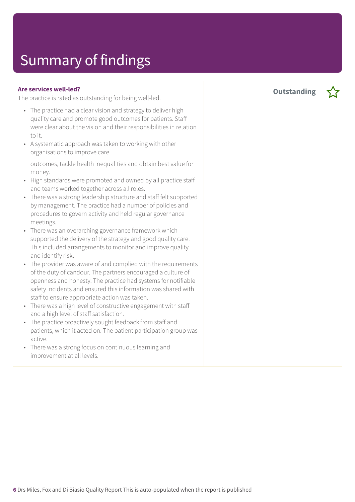#### **Are services well-led?**

The practice is rated as outstanding for being well-led.

- The practice had a clear vision and strategy to deliver high quality care and promote good outcomes for patients. Staff were clear about the vision and their responsibilities in relation to it.
- A systematic approach was taken to working with other organisations to improve care

outcomes, tackle health inequalities and obtain best value for money.

- High standards were promoted and owned by all practice staff and teams worked together across all roles.
- There was a strong leadership structure and staff felt supported by management. The practice had a number of policies and procedures to govern activity and held regular governance meetings.
- There was an overarching governance framework which supported the delivery of the strategy and good quality care. This included arrangements to monitor and improve quality and identify risk.
- The provider was aware of and complied with the requirements of the duty of candour. The partners encouraged a culture of openness and honesty. The practice had systems for notifiable safety incidents and ensured this information was shared with staff to ensure appropriate action was taken.
- There was a high level of constructive engagement with staff and a high level of staff satisfaction.
- The practice proactively sought feedback from staff and patients, which it acted on. The patient participation group was active.
- There was a strong focus on continuous learning and improvement at all levels.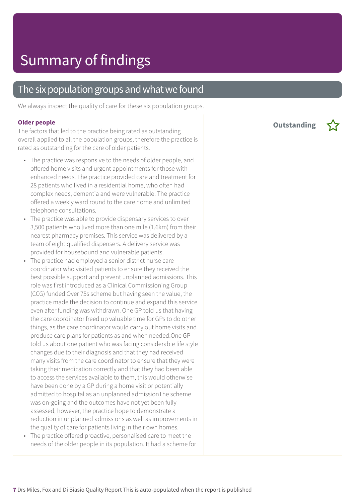### The six population groups and what we found

We always inspect the quality of care for these six population groups.

#### **Older people**

The factors that led to the practice being rated as outstanding overall applied to all the population groups, therefore the practice is rated as outstanding for the care of older patients.

- The practice was responsive to the needs of older people, and offered home visits and urgent appointments for those with enhanced needs. The practice provided care and treatment for 28 patients who lived in a residential home, who often had complex needs, dementia and were vulnerable. The practice offered a weekly ward round to the care home and unlimited telephone consultations.
- The practice was able to provide dispensary services to over 3,500 patients who lived more than one mile (1.6km) from their nearest pharmacy premises. This service was delivered by a team of eight qualified dispensers. A delivery service was provided for housebound and vulnerable patients.
- The practice had employed a senior district nurse care coordinator who visited patients to ensure they received the best possible support and prevent unplanned admissions. This role was first introduced as a Clinical Commissioning Group (CCG) funded Over 75s scheme but having seen the value, the practice made the decision to continue and expand this service even after funding was withdrawn. One GP told us that having the care coordinator freed up valuable time for GPs to do other things, as the care coordinator would carry out home visits and produce care plans for patients as and when needed.One GP told us about one patient who was facing considerable life style changes due to their diagnosis and that they had received many visits from the care coordinator to ensure that they were taking their medication correctly and that they had been able to access the services available to them, this would otherwise have been done by a GP during a home visit or potentially admitted to hospital as an unplanned admissionThe scheme was on-going and the outcomes have not yet been fully assessed, however, the practice hope to demonstrate a reduction in unplanned admissions as well as improvements in the quality of care for patients living in their own homes.
- The practice offered proactive, personalised care to meet the needs of the older people in its population. It had a scheme for

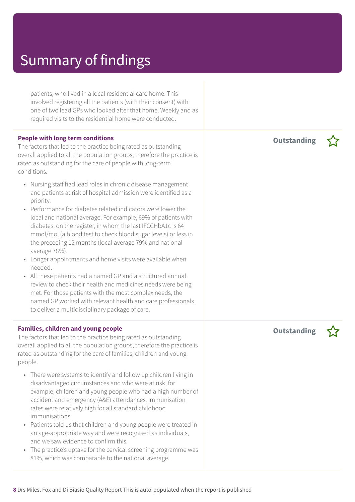patients, who lived in a local residential care home. This involved registering all the patients (with their consent) with one of two lead GPs who looked after that home. Weekly and as required visits to the residential home were conducted.

#### **People with long term conditions**

The factors that led to the practice being rated as outstanding overall applied to all the population groups, therefore the practice is rated as outstanding for the care of people with long-term conditions.

- Nursing staff had lead roles in chronic disease management and patients at risk of hospital admission were identified as a priority.
- Performance for diabetes related indicators were lower the local and national average. For example, 69% of patients with diabetes, on the register, in whom the last IFCCHbA1c is 64 mmol/mol (a blood test to check blood sugar levels) or less in the preceding 12 months (local average 79% and national average 78%).
- Longer appointments and home visits were available when needed.
- All these patients had a named GP and a structured annual review to check their health and medicines needs were being met. For those patients with the most complex needs, the named GP worked with relevant health and care professionals to deliver a multidisciplinary package of care.

#### **Families, children and young people**

The factors that led to the practice being rated as outstanding overall applied to all the population groups, therefore the practice is rated as outstanding for the care of families, children and young people.

- There were systems to identify and follow up children living in disadvantaged circumstances and who were at risk, for example, children and young people who had a high number of accident and emergency (A&E) attendances. Immunisation rates were relatively high for all standard childhood immunisations.
- Patients told us that children and young people were treated in an age-appropriate way and were recognised as individuals, and we saw evidence to confirm this.
- The practice's uptake for the cervical screening programme was 81%, which was comparable to the national average.

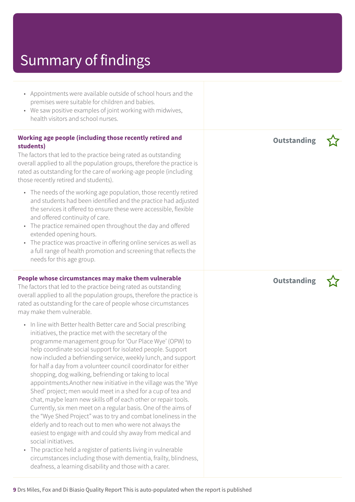- Appointments were available outside of school hours and the premises were suitable for children and babies.
- We saw positive examples of joint working with midwives, health visitors and school nurses.

#### **Working age people (including those recently retired and students)**

The factors that led to the practice being rated as outstanding overall applied to all the population groups, therefore the practice is rated as outstanding for the care of working-age people (including those recently retired and students).

- The needs of the working age population, those recently retired and students had been identified and the practice had adjusted the services it offered to ensure these were accessible, flexible and offered continuity of care.
- The practice remained open throughout the day and offered extended opening hours.
- The practice was proactive in offering online services as well as a full range of health promotion and screening that reflects the needs for this age group.

#### **People whose circumstances may make them vulnerable**

The factors that led to the practice being rated as outstanding overall applied to all the population groups, therefore the practice is rated as outstanding for the care of people whose circumstances may make them vulnerable.

- In line with Better health Better care and Social prescribing initiatives, the practice met with the secretary of the programme management group for 'Our Place Wye' (OPW) to help coordinate social support for isolated people. Support now included a befriending service, weekly lunch, and support for half a day from a volunteer council coordinator for either shopping, dog walking, befriending or taking to local appointments.Another new initiative in the village was the 'Wye Shed' project; men would meet in a shed for a cup of tea and chat, maybe learn new skills off of each other or repair tools. Currently, six men meet on a regular basis. One of the aims of the "Wye Shed Project" was to try and combat loneliness in the elderly and to reach out to men who were not always the easiest to engage with and could shy away from medical and social initiatives.
- The practice held a register of patients living in vulnerable circumstances including those with dementia, frailty, blindness, deafness, a learning disability and those with a carer.

**Outstanding –**

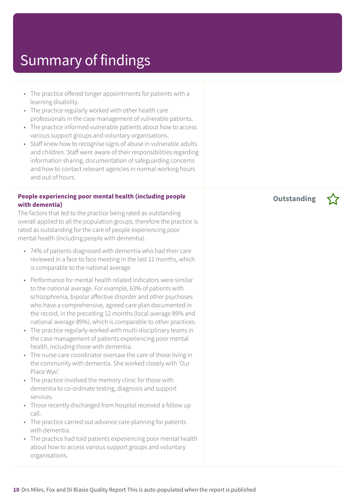- The practice offered longer appointments for patients with a learning disability.
- The practice regularly worked with other health care professionals in the case management of vulnerable patients.
- The practice informed vulnerable patients about how to access various support groups and voluntary organisations.
- Staff knew how to recognise signs of abuse in vulnerable adults and children. Staff were aware of their responsibilities regarding information sharing, documentation of safeguarding concerns and how to contact relevant agencies in normal working hours and out of hours.

#### **People experiencing poor mental health (including people with dementia)**

The factors that led to the practice being rated as outstanding overall applied to all the population groups, therefore the practice is rated as outstanding for the care of people experiencing poor mental health (including people with dementia).

- 74% of patients diagnosed with dementia who had their care reviewed in a face to face meeting in the last 12 months, which is comparable to the national average.
- Performance for mental health related indicators were similar to the national average. For example, 63% of patients with schizophrenia, bipolar affective disorder and other psychoses who have a comprehensive, agreed care plan documented in the record, in the preceding 12 months (local average 89% and national average 89%), which is comparable to other practices.
- The practice regularly worked with multi-disciplinary teams in the case management of patients experiencing poor mental health, including those with dementia.
- The nurse care coordinator oversaw the care of those living in the community with dementia. She worked closely with 'Our Place Wye'.
- The practice involved the memory clinic for those with dementia to co-ordinate testing, diagnosis and support services.
- Those recently discharged from hospital received a follow up call.
- The practice carried out advance care planning for patients with dementia.
- The practice had told patients experiencing poor mental health about how to access various support groups and voluntary organisations.

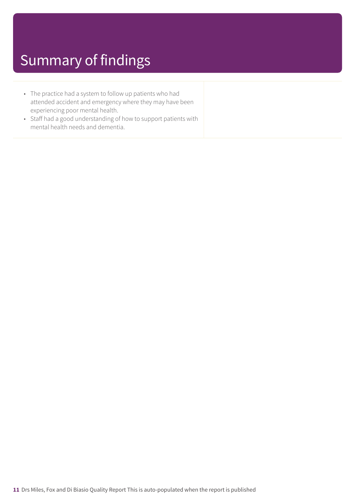- The practice had a system to follow up patients who had attended accident and emergency where they may have been experiencing poor mental health.
- Staff had a good understanding of how to support patients with mental health needs and dementia.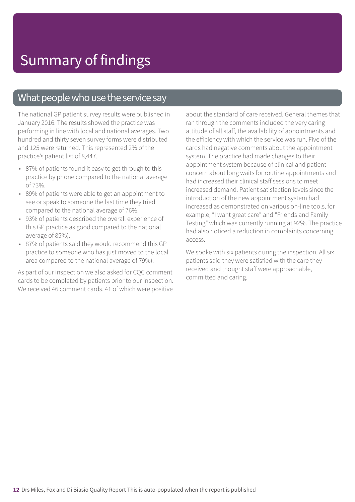### What people who use the service say

The national GP patient survey results were published in January 2016. The results showed the practice was performing in line with local and national averages. Two hundred and thirty seven survey forms were distributed and 125 were returned. This represented 2% of the practice's patient list of 8,447.

- 87% of patients found it easy to get through to this practice by phone compared to the national average of 73%.
- 89% of patients were able to get an appointment to see or speak to someone the last time they tried compared to the national average of 76%.
- 93% of patients described the overall experience of this GP practice as good compared to the national average of 85%).
- 87% of patients said they would recommend this GP practice to someone who has just moved to the local area compared to the national average of 79%).

As part of our inspection we also asked for CQC comment cards to be completed by patients prior to our inspection. We received 46 comment cards, 41 of which were positive

about the standard of care received. General themes that ran through the comments included the very caring attitude of all staff, the availability of appointments and the efficiency with which the service was run. Five of the cards had negative comments about the appointment system. The practice had made changes to their appointment system because of clinical and patient concern about long waits for routine appointments and had increased their clinical staff sessions to meet increased demand. Patient satisfaction levels since the introduction of the new appointment system had increased as demonstrated on various on-line tools, for example, "I want great care" and "Friends and Family Testing" which was currently running at 92%. The practice had also noticed a reduction in complaints concerning access.

We spoke with six patients during the inspection. All six patients said they were satisfied with the care they received and thought staff were approachable, committed and caring.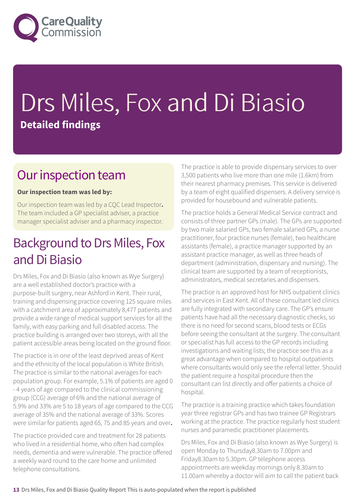

# Drs Miles, Fox and Di Biasio **Detailed findings**

### Our inspection team

### **Our inspection team was led by:**

Our inspection team was led by a CQC Lead Inspector**.** The team included a GP specialist adviser, a practice manager specialist adviser and a pharmacy inspector.

### Background to Drs Miles, Fox and Di Biasio

Drs Miles, Fox and Di Biasio (also known as Wye Surgery) are a well established doctor's practice with a purpose-built surgery, near Ashford in Kent. Their rural, training and dispensing practice covering 125 square miles with a catchment area of approximately 8,477 patients and provide a wide range of medical support services for all the family, with easy parking and full disabled access. The practice building is arranged over two storeys, with all the patient accessible areas being located on the ground floor.

The practice is in one of the least deprived areas of Kent and the ethnicity of the local population is White British. The practice is similar to the national averages for each population group. For example, 5.1% of patients are aged 0 - 4 years of age compared to the clinical commissioning group (CCG) average of 6% and the national average of 5.9% and 33% are 5 to 18 years of age compared to the CCG average of 35% and the national average of 33%. Scores were similar for patients aged 65, 75 and 85 years and over**.**

The practice provided care and treatment for 28 patients who lived in a residential home, who often had complex needs, dementia and were vulnerable. The practice offered a weekly ward round to the care home and unlimited telephone consultations.

The practice is able to provide dispensary services to over 3,500 patients who live more than one mile (1.6km) from their nearest pharmacy premises. This service is delivered by a team of eight qualified dispensers. A delivery service is provided for housebound and vulnerable patients.

The practice holds a General Medical Service contract and consists of three partner GPs (male). The GPs are supported by two male salaried GPs, two female salaried GPs, a nurse practitioner, four practice nurses (female), two healthcare assistants (female), a practice manager supported by an assistant practice manager, as well as three heads of department (administration, dispensary and nursing). The clinical team are supported by a team of receptionists, administrators, medical secretaries and dispensers.

The practice is an approved host for NHS outpatient clinics and services in East Kent. All of these consultant led clinics are fully integrated with secondary care. The GP's ensure patients have had all the necessary diagnostic checks, so there is no need for second scans, blood tests or ECGs before seeing the consultant at the surgery. The consultant or specialist has full access to the GP records including investigations and waiting lists; the practice see this as a great advantage when compared to hospital outpatients where consultants would only see the referral letter. Should the patient require a hospital procedure then the consultant can list directly and offer patients a choice of hospital.

The practice is a training practice which takes foundation year three registrar GPs and has two trainee GP Registrars working at the practice. The practice regularly host student nurses and paramedic practitioner placements.

Drs Miles, Fox and Di Biasio (also known as Wye Surgery) is open Monday to Thursday8.30am to 7.00pm and Friday8.30am to 5.30pm. GP telephone access appointments are weekday mornings only 8.30am to 11.00am whereby a doctor will aim to call the patient back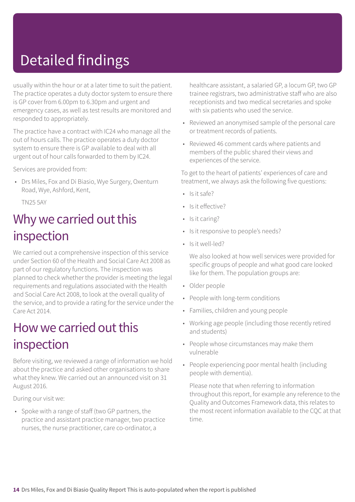# Detailed findings

usually within the hour or at a later time to suit the patient. The practice operates a duty doctor system to ensure there is GP cover from 6.00pm to 6.30pm and urgent and emergency cases, as well as test results are monitored and responded to appropriately.

The practice have a contract with IC24 who manage all the out of hours calls. The practice operates a duty doctor system to ensure there is GP available to deal with all urgent out of hour calls forwarded to them by IC24.

Services are provided from:

• Drs Miles, Fox and Di Biasio, Wye Surgery, Oxenturn Road, Wye, Ashford, Kent,

TN25 5AY

### Why we carried out this inspection

We carried out a comprehensive inspection of this service under Section 60 of the Health and Social Care Act 2008 as part of our regulatory functions. The inspection was planned to check whether the provider is meeting the legal requirements and regulations associated with the Health and Social Care Act 2008, to look at the overall quality of the service, and to provide a rating for the service under the Care Act 2014.

### How we carried out this inspection

Before visiting, we reviewed a range of information we hold about the practice and asked other organisations to share what they knew. We carried out an announced visit on 31 August 2016.

During our visit we:

• Spoke with a range of staff (two GP partners, the practice and assistant practice manager, two practice nurses, the nurse practitioner, care co-ordinator, a

healthcare assistant, a salaried GP, a locum GP, two GP trainee registrars, two administrative staff who are also receptionists and two medical secretaries and spoke with six patients who used the service.

- Reviewed an anonymised sample of the personal care or treatment records of patients.
- Reviewed 46 comment cards where patients and members of the public shared their views and experiences of the service.

To get to the heart of patients' experiences of care and treatment, we always ask the following five questions:

- Is it safe?
- Is it effective?
- Is it caring?
- Is it responsive to people's needs?
- Is it well-led?

We also looked at how well services were provided for specific groups of people and what good care looked like for them. The population groups are:

- Older people
- People with long-term conditions
- Families, children and young people
- Working age people (including those recently retired and students)
- People whose circumstances may make them vulnerable
- People experiencing poor mental health (including people with dementia).

Please note that when referring to information throughout this report, for example any reference to the Quality and Outcomes Framework data, this relates to the most recent information available to the CQC at that time.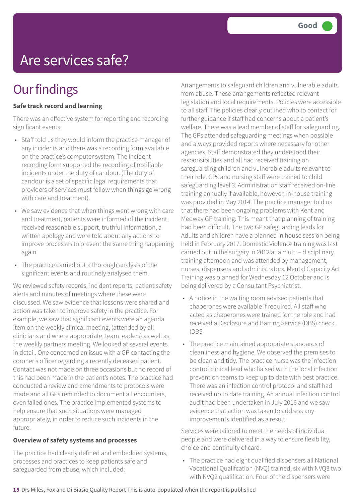# Are services safe?

## **Our findings**

### **Safe track record and learning**

There was an effective system for reporting and recording significant events.

- Staff told us they would inform the practice manager of any incidents and there was a recording form available on the practice's computer system. The incident recording form supported the recording of notifiable incidents under the duty of candour. (The duty of candour is a set of specific legal requirements that providers of services must follow when things go wrong with care and treatment).
- We saw evidence that when things went wrong with care and treatment, patients were informed of the incident, received reasonable support, truthful information, a written apology and were told about any actions to improve processes to prevent the same thing happening again.
- The practice carried out a thorough analysis of the significant events and routinely analysed them.

We reviewed safety records, incident reports, patient safety alerts and minutes of meetings where these were discussed. We saw evidence that lessons were shared and action was taken to improve safety in the practice. For example, we saw that significant events were an agenda item on the weekly clinical meeting, (attended by all clinicians and where appropriate, team leaders) as well as, the weekly partners meeting. We looked at several events in detail. One concerned an issue with a GP contacting the coroner's officer regarding a recently deceased patient. Contact was not made on three occasions but no record of this had been made in the patient's notes. The practice had conducted a review and amendments to protocols were made and all GPs reminded to document all encounters, even failed ones. The practice implemented systems to help ensure that such situations were managed appropriately, in order to reduce such incidents in the future.

#### **Overview of safety systems and processes**

The practice had clearly defined and embedded systems, processes and practices to keep patients safe and safeguarded from abuse, which included:

Arrangements to safeguard children and vulnerable adults from abuse. These arrangements reflected relevant legislation and local requirements. Policies were accessible to all staff. The policies clearly outlined who to contact for further guidance if staff had concerns about a patient's welfare. There was a lead member of staff for safeguarding. The GPs attended safeguarding meetings when possible and always provided reports where necessary for other agencies. Staff demonstrated they understood their responsibilities and all had received training on safeguarding children and vulnerable adults relevant to their role. GPs and nursing staff were trained to child safeguarding level 3. Administration staff received on-line training annually if available, however, in-house training was provided in May 2014. The practice manager told us that there had been ongoing problems with Kent and Medway GP training. This meant that planning of training had been difficult. The two GP safeguarding leads for Adults and children have a planned in house session being held in February 2017. Domestic Violence training was last carried out in the surgery in 2012 at a multi – disciplinary training afternoon and was attended by management, nurses, dispensers and administrators. Mental Capacity Act Training was planned for Wednesday 12 October and is being delivered by a Consultant Psychiatrist.

- A notice in the waiting room advised patients that chaperones were available if required. All staff who acted as chaperones were trained for the role and had received a Disclosure and Barring Service (DBS) check. (DBS
- The practice maintained appropriate standards of cleanliness and hygiene. We observed the premises to be clean and tidy. The practice nurse was the infection control clinical lead who liaised with the local infection prevention teams to keep up to date with best practice. There was an infection control protocol and staff had received up to date training. An annual infection control audit had been undertaken in July 2016 and we saw evidence that action was taken to address any improvements identified as a result.

Services were tailored to meet the needs of individual people and were delivered in a way to ensure flexibility, choice and continuity of care.

• The practice had eight qualified dispensers all National Vocational Qualifcation (NVQ) trained, six with NVQ3 two with NVQ2 qualification. Four of the dispensers were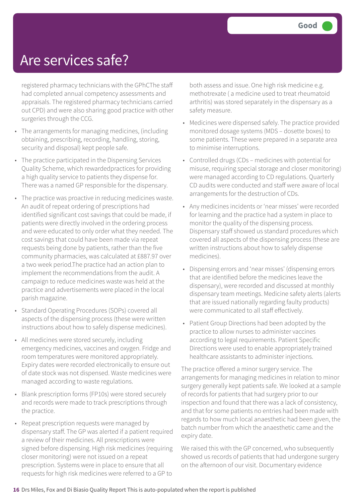### Are services safe?

registered pharmacy technicians with the GPhCThe staff had completed annual competency assessments and appraisals. The registered pharmacy technicians carried out CPD) and were also sharing good practice with other surgeries through the CCG.

- The arrangements for managing medicines, (including obtaining, prescribing, recording, handling, storing, security and disposal) kept people safe.
- The practice participated in the Dispensing Services Quality Scheme, which rewardedpractices for providing a high quality service to patients they dispense for. There was a named GP responsible for the dispensary.
- The practice was proactive in reducing medicines waste. An audit of repeat ordering of prescriptions had identified significant cost savings that could be made, if patients were directly involved in the ordering process and were educated to only order what they needed. The cost savings that could have been made via repeat requests being done by patients, rather than the five community pharmacies, was calculated at £887.97 over a two week period.The practice had an action plan to implement the recommendations from the audit. A campaign to reduce medicines waste was held at the practice and advertisements were placed in the local parish magazine.
- Standard Operating Procedures (SOPs) covered all aspects of the dispensing process (these were written instructions about how to safely dispense medicines).
- All medicines were stored securely, including emergency medicines, vaccines and oxygen. Fridge and room temperatures were monitored appropriately. Expiry dates were recorded electronically to ensure out of date stock was not dispensed. Waste medicines were managed according to waste regulations.
- Blank prescription forms (FP10s) were stored securely and records were made to track prescriptions through the practice.
- Repeat prescription requests were managed by dispensary staff. The GP was alerted if a patient required a review of their medicines. All prescriptions were signed before dispensing. High risk medicines (requiring closer monitoring) were not issued on a repeat prescription. Systems were in place to ensure that all requests for high risk medicines were referred to a GP to

both assess and issue. One high risk medicine e.g. methotrexate ( a medicine used to treat rheumatoid arthritis) was stored separately in the dispensary as a safety measure.

- Medicines were dispensed safely. The practice provided monitored dosage systems (MDS – dosette boxes) to some patients. These were prepared in a separate area to minimise interruptions.
- Controlled drugs (CDs medicines with potential for misuse, requiring special storage and closer monitoring) were managed according to CD regulations. Quarterly CD audits were conducted and staff were aware of local arrangements for the destruction of CDs.
- Any medicines incidents or 'near misses' were recorded for learning and the practice had a system in place to monitor the quality of the dispensing process. Dispensary staff showed us standard procedures which covered all aspects of the dispensing process (these are written instructions about how to safely dispense medicines).
- Dispensing errors and 'near misses' (dispensing errors that are identified before the medicines leave the dispensary), were recorded and discussed at monthly dispensary team meetings. Medicine safety alerts (alerts that are issued nationally regarding faulty products) were communicated to all staff effectively.
- Patient Group Directions had been adopted by the practice to allow nurses to administer vaccines according to legal requirements. Patient Specific Directions were used to enable appropriately trained healthcare assistants to administer injections.

The practice offered a minor surgery service. The arrangements for managing medicines in relation to minor surgery generally kept patients safe. We looked at a sample of records for patients that had surgery prior to our inspection and found that there was a lack of consistency, and that for some patients no entries had been made with regards to how much local anaesthetic had been given, the batch number from which the anaesthetic came and the expiry date.

We raised this with the GP concerned, who subsequently showed us records of patients that had undergone surgery on the afternoon of our visit. Documentary evidence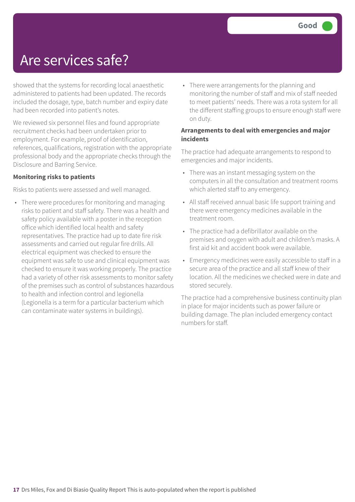## Are services safe?

showed that the systems for recording local anaesthetic administered to patients had been updated. The records included the dosage, type, batch number and expiry date had been recorded into patient's notes.

We reviewed six personnel files and found appropriate recruitment checks had been undertaken prior to employment. For example, proof of identification, references, qualifications, registration with the appropriate professional body and the appropriate checks through the Disclosure and Barring Service.

#### **Monitoring risks to patients**

Risks to patients were assessed and well managed.

• There were procedures for monitoring and managing risks to patient and staff safety. There was a health and safety policy available with a poster in the reception office which identified local health and safety representatives. The practice had up to date fire risk assessments and carried out regular fire drills. All electrical equipment was checked to ensure the equipment was safe to use and clinical equipment was checked to ensure it was working properly. The practice had a variety of other risk assessments to monitor safety of the premises such as control of substances hazardous to health and infection control and legionella (Legionella is a term for a particular bacterium which can contaminate water systems in buildings).

• There were arrangements for the planning and monitoring the number of staff and mix of staff needed to meet patients' needs. There was a rota system for all the different staffing groups to ensure enough staff were on duty.

#### **Arrangements to deal with emergencies and major incidents**

The practice had adequate arrangements to respond to emergencies and major incidents.

- There was an instant messaging system on the computers in all the consultation and treatment rooms which alerted staff to any emergency.
- All staff received annual basic life support training and there were emergency medicines available in the treatment room.
- The practice had a defibrillator available on the premises and oxygen with adult and children's masks. A first aid kit and accident book were available.
- Emergency medicines were easily accessible to staff in a secure area of the practice and all staff knew of their location. All the medicines we checked were in date and stored securely.

The practice had a comprehensive business continuity plan in place for major incidents such as power failure or building damage. The plan included emergency contact numbers for staff.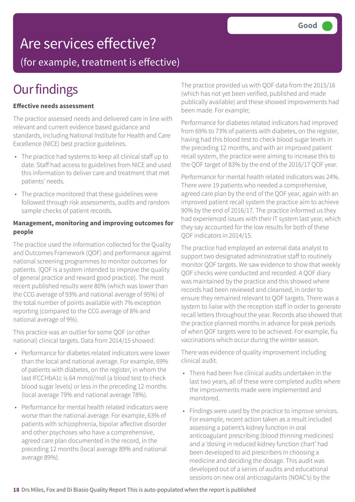### Are services effective?

(for example, treatment is effective)

## **Our findings**

#### **Effective needs assessment**

The practice assessed needs and delivered care in line with relevant and current evidence based guidance and standards, including National Institute for Health and Care Excellence (NICE) best practice guidelines.

- The practice had systems to keep all clinical staff up to date. Staff had access to guidelines from NICE and used this information to deliver care and treatment that met patients' needs.
- The practice monitored that these guidelines were followed through risk assessments, audits and random sample checks of patient records.

#### **Management, monitoring and improving outcomes for people**

The practice used the information collected for the Quality and Outcomes Framework (QOF) and performance against national screening programmes to monitor outcomes for patients. (QOF is a system intended to improve the quality of general practice and reward good practice). The most recent published results were 80% (which was lower than the CCG average of 93% and national average of 95%) of the total number of points available with 7% exception reporting (compared to the CCG average of 8% and national average of 9%).

This practice was an outlier for some QOF (or other national) clinical targets. Data from 2014/15 showed:

- Performance for diabetes related indicators were lower than the local and national average. For example, 69% of patients with diabetes, on the register, in whom the last IFCCHbA1c is 64 mmol/mol (a blood test to check blood sugar levels) or less in the preceding 12 months (local average 79% and national average 78%).
- Performance for mental health related indicators were worse than the national average. For example, 63% of patients with schizophrenia, bipolar affective disorder and other psychoses who have a comprehensive, agreed care plan documented in the record, in the preceding 12 months (local average 89% and national average 89%).

The practice provided us with QOF data from the 2015/16 (which has not yet been verified, published and made publically available) and these showed improvements had been made. For example;

Performance for diabetes related indicators had improved from 69% to 73% of patients with diabetes, on the register, having had this blood test to check blood sugar levels in the preceding 12 months, and with an improved patient recall system, the practice were aiming to increase this to the QOF target of 83% by the end of the 2016/17 QOF year.

Performance for mental health related indicators was 24%. There were 19 patients who needed a comprehensive, agreed care plan by the end of the QOF year, again with an improved patient recall system the practice aim to achieve 90% by the end of 2016/17. The practice informed us they had experienced issues with their IT system last year, which they say accounted for the low results for both of these QOF indicators in 2014/15.

The practice had employed an external data analyst to support two designated administrative staff to routinely monitor QOF targets. We saw evidence to show that weekly QOF checks were conducted and recorded. A QOF diary was maintained by the practice and this showed where records had been reviewed and cleansed, in order to ensure they remained relevant to QOF targets. There was a system to liaise with the reception staff in order to generate recall letters throughout the year. Records also showed that the practice planned months in advance for peak periods of when QOF targets were to be achieved. For example, flu vaccinations which occur during the winter season.

There was evidence of quality improvement including clinical audit.

- There had been five clinical audits undertaken in the last two years, all of these were completed audits where the improvements made were implemented and monitored.
- Findings were used by the practice to improve services. For example, recent action taken as a result included assessing a patient's kidney function in oral anticoagulant prescribing (blood thinning medicines) and a 'dosing in reduced kidney function chart' had been developed to aid prescribers in choosing a medicine and deciding the dosage. This audit was developed out of a series of audits and educational sessions on new oral anticoagulants (NOAC's) by the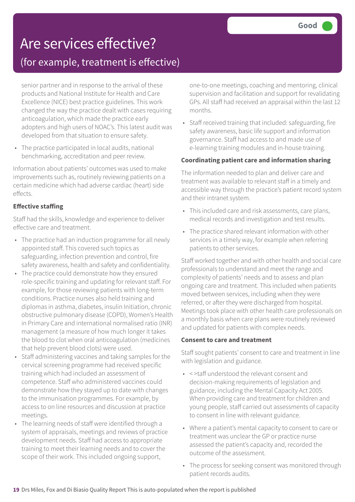## Are services effective?

### (for example, treatment is effective)

senior partner and in response to the arrival of these products and National Institute for Health and Care Excellence (NICE) best practice guidelines. This work changed the way the practice dealt with cases requiring anticoagulation, which made the practice early adopters and high users of NOAC's. This latest audit was developed from that situation to ensure safety.

• The practice participated in local audits, national benchmarking, accreditation and peer review.

Information about patients' outcomes was used to make improvements such as, routinely reviewing patients on a certain medicine which had adverse cardiac (heart) side effects.

### **Effective staffing**

Staff had the skills, knowledge and experience to deliver effective care and treatment.

- The practice had an induction programme for all newly appointed staff. This covered such topics as safeguarding, infection prevention and control, fire safety awareness, health and safety and confidentiality.
- The practice could demonstrate how they ensured role-specific training and updating for relevant staff. For example, for those reviewing patients with long-term conditions. Practice nurses also held training and diplomas in asthma, diabetes, insulin Initiation, chronic obstructive pulmonary disease (COPD), Women's Health in Primary Care and international normalised ratio (INR) management (a measure of how much longer it takes the blood to clot when oral anticoagulation (medicines that help prevent blood clots) were used.
- Staff administering vaccines and taking samples for the cervical screening programme had received specific training which had included an assessment of competence. Staff who administered vaccines could demonstrate how they stayed up to date with changes to the immunisation programmes. For example, by access to on line resources and discussion at practice meetings.
- The learning needs of staff were identified through a system of appraisals, meetings and reviews of practice development needs. Staff had access to appropriate training to meet their learning needs and to cover the scope of their work. This included ongoing support,

one-to-one meetings, coaching and mentoring, clinical supervision and facilitation and support for revalidating GPs. All staff had received an appraisal within the last 12 months.

• Staff received training that included: safeguarding, fire safety awareness, basic life support and information governance. Staff had access to and made use of e-learning training modules and in-house training.

### **Coordinating patient care and information sharing**

The information needed to plan and deliver care and treatment was available to relevant staff in a timely and accessible way through the practice's patient record system and their intranet system.

- This included care and risk assessments, care plans, medical records and investigation and test results.
- The practice shared relevant information with other services in a timely way, for example when referring patients to other services.

Staff worked together and with other health and social care professionals to understand and meet the range and complexity of patients' needs and to assess and plan ongoing care and treatment. This included when patients moved between services, including when they were referred, or after they were discharged from hospital. Meetings took place with other health care professionals on a monthly basis when care plans were routinely reviewed and updated for patients with complex needs.

#### **Consent to care and treatment**

Staff sought patients' consent to care and treatment in line with legislation and guidance.

- < >taff understood the relevant consent and decision-making requirements of legislation and guidance, including the Mental Capacity Act 2005. When providing care and treatment for children and young people, staff carried out assessments of capacity to consent in line with relevant guidance.
- Where a patient's mental capacity to consent to care or treatment was unclear the GP or practice nurse assessed the patient's capacity and, recorded the outcome of the assessment.
- The process for seeking consent was monitored through patient records audits.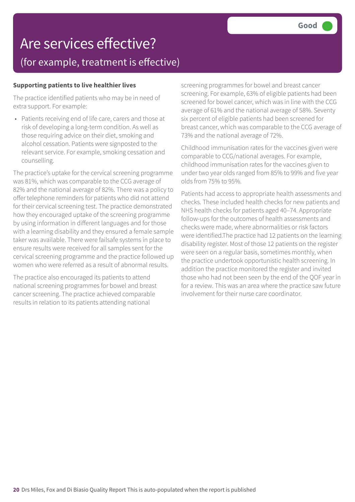### Are services effective? (for example, treatment is effective)

#### **Supporting patients to live healthier lives**

The practice identified patients who may be in need of extra support. For example:

• Patients receiving end of life care, carers and those at risk of developing a long-term condition. As well as those requiring advice on their diet, smoking and alcohol cessation. Patients were signposted to the relevant service. For example, smoking cessation and counselling.

The practice's uptake for the cervical screening programme was 81%, which was comparable to the CCG average of 82% and the national average of 82%. There was a policy to offer telephone reminders for patients who did not attend for their cervical screening test. The practice demonstrated how they encouraged uptake of the screening programme by using information in different languages and for those with a learning disability and they ensured a female sample taker was available. There were failsafe systems in place to ensure results were received for all samples sent for the cervical screening programme and the practice followed up women who were referred as a result of abnormal results.

The practice also encouraged its patients to attend national screening programmes for bowel and breast cancer screening. The practice achieved comparable results in relation to its patients attending national

screening programmes for bowel and breast cancer screening. For example, 63% of eligible patients had been screened for bowel cancer, which was in line with the CCG average of 61% and the national average of 58%. Seventy six percent of eligible patients had been screened for breast cancer, which was comparable to the CCG average of 73% and the national average of 72%.

Childhood immunisation rates for the vaccines given were comparable to CCG/national averages. For example, childhood immunisation rates for the vaccines given to under two year olds ranged from 85% to 99% and five year olds from 75% to 95%.

Patients had access to appropriate health assessments and checks. These included health checks for new patients and NHS health checks for patients aged 40–74. Appropriate follow-ups for the outcomes of health assessments and checks were made, where abnormalities or risk factors were identified.The practice had 12 patients on the learning disability register. Most of those 12 patients on the register were seen on a regular basis, sometimes monthly, when the practice undertook opportunistic health screening. In addition the practice monitored the register and invited those who had not been seen by the end of the QOF year in for a review. This was an area where the practice saw future involvement for their nurse care coordinator.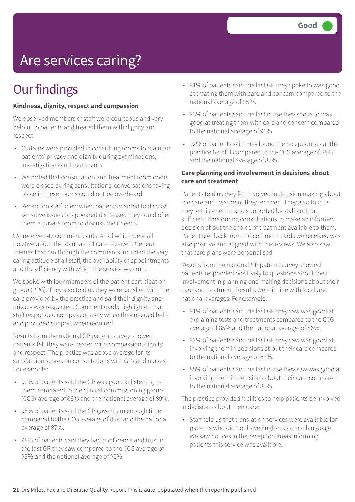# Are services caring?

## **Our findings**

#### **Kindness, dignity, respect and compassion**

We observed members of staff were courteous and very helpful to patients and treated them with dignity and respect.

- Curtains were provided in consulting rooms to maintain patients' privacy and dignity during examinations, investigations and treatments.
- We noted that consultation and treatment room doors were closed during consultations; conversations taking place in these rooms could not be overheard.
- Reception staff knew when patients wanted to discuss sensitive issues or appeared distressed they could offer them a private room to discuss their needs.

We received 46 comment cards, 41 of which were all positive about the standard of care received. General themes that ran through the comments included the very caring attitude of all staff, the availability of appointments and the efficiency with which the service was run.

We spoke with four members of the patient participation group (PPG). They also told us they were satisfied with the care provided by the practice and said their dignity and privacy was respected. Comment cards highlighted that staff responded compassionately when they needed help and provided support when required.

Results from the national GP patient survey showed patients felt they were treated with compassion, dignity and respect. The practice was above average for its satisfaction scores on consultations with GPs and nurses. For example:

- 92% of patients said the GP was good at listening to them compared to the clinical commissioning group (CCG) average of 86% and the national average of 89%.
- 95% of patients said the GP gave them enough time compared to the CCG average of 85% and the national average of 87%.
- 98% of patients said they had confidence and trust in the last GP they saw compared to the CCG average of 93% and the national average of 95%.
- 91% of patients said the last GP they spoke to was good at treating them with care and concern compared to the national average of 85%.
- 93% of patients said the last nurse they spoke to was good at treating them with care and concern compared to the national average of 91%.
- 92% of patients said they found the receptionists at the practice helpful compared to the CCG average of 88% and the national average of 87%.

#### **Care planning and involvement in decisions about care and treatment**

Patients told us they felt involved in decision making about the care and treatment they received. They also told us they felt listened to and supported by staff and had sufficient time during consultations to make an informed decision about the choice of treatment available to them. Patient feedback from the comment cards we received was also positive and aligned with these views. We also saw that care plans were personalised.

Results from the national GP patient survey showed patients responded positively to questions about their involvement in planning and making decisions about their care and treatment. Results were in line with local and national averages. For example:

- 91% of patients said the last GP they saw was good at explaining tests and treatments compared to the CCG average of 85% and the national average of 86%.
- 92% of patients said the last GP they saw was good at involving them in decisions about their care compared to the national average of 82%.
- 85% of patients said the last nurse they saw was good at involving them in decisions about their care compared to the national average of 85%.

The practice provided facilities to help patients be involved in decisions about their care:

• Staff told us that translation services were available for patients who did not have English as a first language. We saw notices in the reception areas informing patients this service was available.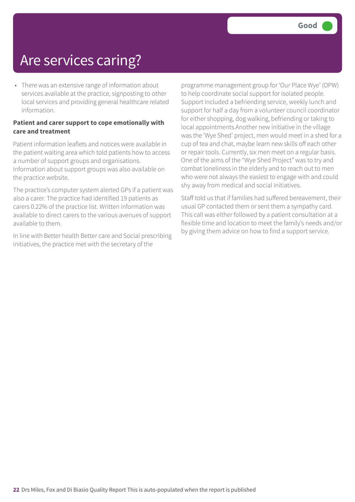## Are services caring?

• There was an extensive range of information about services available at the practice, signposting to other local services and providing general healthcare related information.

#### **Patient and carer support to cope emotionally with care and treatment**

Patient information leaflets and notices were available in the patient waiting area which told patients how to access a number of support groups and organisations. Information about support groups was also available on the practice website.

The practice's computer system alerted GPs if a patient was also a carer. The practice had identified 19 patients as carers 0.22% of the practice list. Written information was available to direct carers to the various avenues of support available to them.

In line with Better health Better care and Social prescribing initiatives, the practice met with the secretary of the

programme management group for 'Our Place Wye' (OPW) to help coordinate social support for isolated people. Support included a befriending service, weekly lunch and support for half a day from a volunteer council coordinator for either shopping, dog walking, befriending or taking to local appointments.Another new initiative in the village was the 'Wye Shed' project, men would meet in a shed for a cup of tea and chat, maybe learn new skills off each other or repair tools. Currently, six men meet on a regular basis. One of the aims of the "Wye Shed Project" was to try and combat loneliness in the elderly and to reach out to men who were not always the easiest to engage with and could shy away from medical and social initiatives.

Staff told us that if families had suffered bereavement, their usual GP contacted them or sent them a sympathy card. This call was either followed by a patient consultation at a flexible time and location to meet the family's needs and/or by giving them advice on how to find a support service.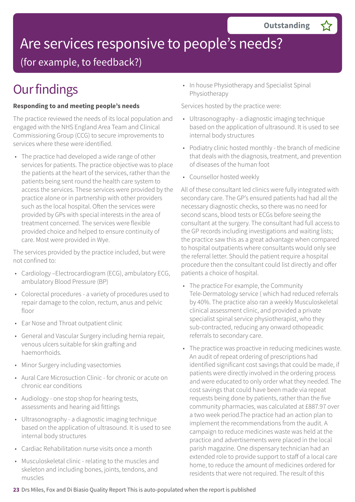# Are services responsive to people's needs?

(for example, to feedback?)

## **Our findings**

### **Responding to and meeting people's needs**

The practice reviewed the needs of its local population and engaged with the NHS England Area Team and Clinical Commissioning Group (CCG) to secure improvements to services where these were identified.

• The practice had developed a wide range of other services for patients. The practice objective was to place the patients at the heart of the services, rather than the patients being sent round the health care system to access the services. These services were provided by the practice alone or in partnership with other providers such as the local hospital. Often the services were provided by GPs with special interests in the area of treatment concerned. The services were flexible provided choice and helped to ensure continuity of care. Most were provided in Wye.

The services provided by the practice included, but were not confined to:

- Cardiology –Electrocardiogram (ECG), ambulatory ECG, ambulatory Blood Pressure (BP)
- Colorectal procedures a variety of procedures used to repair damage to the colon, rectum, anus and pelvic floor
- Ear Nose and Throat outpatient clinic
- General and Vascular Surgery including hernia repair, venous ulcers suitable for skin grafting and haemorrhoids.
- Minor Surgery including vasectomies
- Aural Care Microsuction Clinic for chronic or acute on chronic ear conditions
- Audiology one stop shop for hearing tests, assessments and hearing aid fittings
- Ultrasonography a diagnostic imaging technique based on the application of ultrasound. It is used to see internal body structures
- Cardiac Rehabilitation nurse visits once a month
- Musculoskeletal clinic relating to the muscles and skeleton and including bones, joints, tendons, and muscles

• In house Physiotherapy and Specialist Spinal Physiotherapy

Services hosted by the practice were:

- Ultrasonography a diagnostic imaging technique based on the application of ultrasound. It is used to see internal body structures
- Podiatry clinic hosted monthly the branch of medicine that deals with the diagnosis, treatment, and prevention of diseases of the human foot
- Counsellor hosted weekly

All of these consultant led clinics were fully integrated with secondary care. The GP's ensured patients had had all the necessary diagnostic checks, so there was no need for second scans, blood tests or ECGs before seeing the consultant at the surgery. The consultant had full access to the GP records including investigations and waiting lists; the practice saw this as a great advantage when compared to hospital outpatients where consultants would only see the referral letter. Should the patient require a hospital procedure then the consultant could list directly and offer patients a choice of hospital.

- The practice For example, the Community Tele-Dermatology service ( which had reduced referrals by 40%. The practice also ran a weekly Musculoskeletal clinical assessment clinic, and provided a private specialist spinal service physiotherapist, who they sub-contracted, reducing any onward othopeadic referrals to secondary care.
- The practice was proactive in reducing medicines waste. An audit of repeat ordering of prescriptions had identified significant cost savings that could be made, if patients were directly involved in the ordering process and were educated to only order what they needed. The cost savings that could have been made via repeat requests being done by patients, rather than the five community pharmacies, was calculated at £887.97 over a two week period.The practice had an action plan to implement the recommendations from the audit. A campaign to reduce medicines waste was held at the practice and advertisements were placed in the local parish magazine. One dispensary technician had an extended role to provide support to staff of a local care home, to reduce the amount of medicines ordered for residents that were not required. The result of this
- **23** Drs Miles, Fox and Di Biasio Quality Report This is auto-populated when the report is published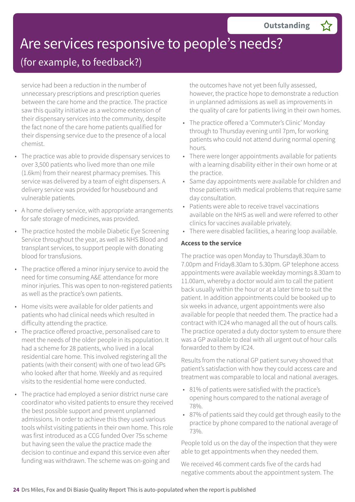# Are services responsive to people's needs?

### (for example, to feedback?)

service had been a reduction in the number of unnecessary prescriptions and prescription queries between the care home and the practice. The practice saw this quality initiative as a welcome extension of their dispensary services into the community, despite the fact none of the care home patients qualified for their dispensing service due to the presence of a local chemist.

- The practice was able to provide dispensary services to over 3,500 patients who lived more than one mile (1.6km) from their nearest pharmacy premises. This service was delivered by a team of eight dispensers. A delivery service was provided for housebound and vulnerable patients.
- A home delivery service, with appropriate arrangements for safe storage of medicines, was provided.
- The practice hosted the mobile Diabetic Eye Screening Service throughout the year, as well as NHS Blood and transplant services, to support people with donating blood for transfusions.
- The practice offered a minor injury service to avoid the need for time consuming A&E attendance for more minor injuries. This was open to non-registered patients as well as the practice's own patients.
- Home visits were available for older patients and patients who had clinical needs which resulted in difficulty attending the practice.
- The practice offered proactive, personalised care to meet the needs of the older people in its population. It had a scheme for 28 patients, who lived in a local residential care home. This involved registering all the patients (with their consent) with one of two lead GPs who looked after that home. Weekly and as required visits to the residential home were conducted.
- The practice had employed a senior district nurse care coordinator who visited patients to ensure they received the best possible support and prevent unplanned admissions. In order to achieve this they used various tools whilst visiting patients in their own home. This role was first introduced as a CCG funded Over 75s scheme but having seen the value the practice made the decision to continue and expand this service even after funding was withdrawn. The scheme was on-going and

the outcomes have not yet been fully assessed, however, the practice hope to demonstrate a reduction in unplanned admissions as well as improvements in the quality of care for patients living in their own homes.

- The practice offered a 'Commuter's Clinic' Monday through to Thursday evening until 7pm, for working patients who could not attend during normal opening hours.
- There were longer appointments available for patients with a learning disability either in their own home or at the practice.
- Same day appointments were available for children and those patients with medical problems that require same day consultation.
- Patients were able to receive travel vaccinations available on the NHS as well and were referred to other clinics for vaccines available privately.
- There were disabled facilities, a hearing loop available.

### **Access to the service**

The practice was open Monday to Thursday8.30am to 7.00pm and Friday8.30am to 5.30pm. GP telephone access appointments were available weekday mornings 8.30am to 11.00am, whereby a doctor would aim to call the patient back usually within the hour or at a later time to suit the patient. In addition appointments could be booked up to six weeks in advance, urgent appointments were also available for people that needed them. The practice had a contract with IC24 who managed all the out of hours calls. The practice operated a duty doctor system to ensure there was a GP available to deal with all urgent out of hour calls forwarded to them by IC24.

Results from the national GP patient survey showed that patient's satisfaction with how they could access care and treatment was comparable to local and national averages.

- 81% of patients were satisfied with the practice's opening hours compared to the national average of 78%.
- 87% of patients said they could get through easily to the practice by phone compared to the national average of 73%.

People told us on the day of the inspection that they were able to get appointments when they needed them.

We received 46 comment cards five of the cards had negative comments about the appointment system. The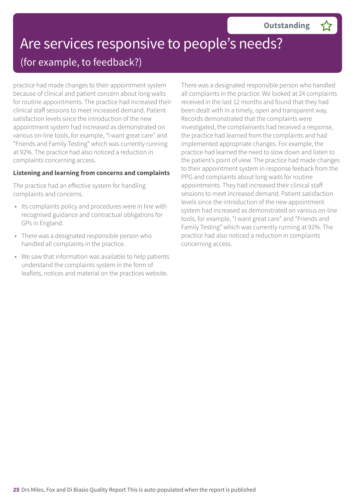### Are services responsive to people's needs? (for example, to feedback?)

practice had made changes to their appointment system because of clinical and patient concern about long waits for routine appointments. The practice had increased their clinical staff sessions to meet increased demand. Patient satisfaction levels since the introduction of the new appointment system had increased as demonstrated on various on-line tools, for example, "I want great care" and "Friends and Family Testing" which was currently running at 92%. The practice had also noticed a reduction in complaints concerning access.

#### **Listening and learning from concerns and complaints**

The practice had an effective system for handling complaints and concerns.

- Its complaints policy and procedures were in line with recognised guidance and contractual obligations for GPs in England.
- There was a designated responsible person who handled all complaints in the practice.
- We saw that information was available to help patients understand the complaints system in the form of leaflets, notices and material on the practices website.

There was a designated responsible person who handled all complaints in the practice. We looked at 24 complaints received in the last 12 months and found that they had been dealt with in a timely, open and transparent way. Records demonstrated that the complaints were investigated, the complainants had received a response, the practice had learned from the complaints and had implemented appropriate changes. For example, the practice had learned the need to slow down and listen to the patient's point of view. The practice had made changes to their appointment system in response feeback from the PPG and complaints about long waits for routine appointments. They had increased their clinical staff sessions to meet increased demand. Patient satisfaction levels since the introduction of the new appointment system had increased as demonstrated on various on-line tools, for example, "I want great care" and "Friends and Family Testing" which was currently running at 92%. The practice had also noticed a reduction in complaints concerning access.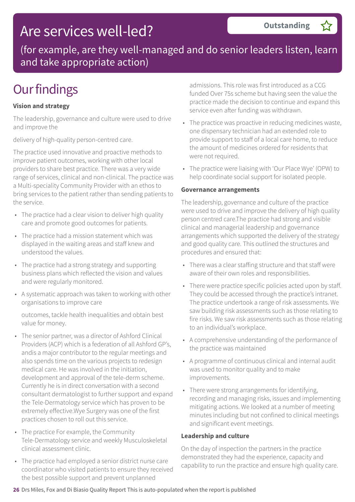### Are services well-led?

(for example, are they well-managed and do senior leaders listen, learn and take appropriate action)

## **Our findings**

### **Vision and strategy**

The leadership, governance and culture were used to drive and improve the

delivery of high-quality person-centred care.

The practice used innovative and proactive methods to improve patient outcomes, working with other local providers to share best practice. There was a very wide range of services, clinical and non-clinical. The practice was a Multi-speciality Community Provider with an ethos to bring services to the patient rather than sending patients to the service.

- The practice had a clear vision to deliver high quality care and promote good outcomes for patients.
- The practice had a mission statement which was displayed in the waiting areas and staff knew and understood the values.
- The practice had a strong strategy and supporting business plans which reflected the vision and values and were regularly monitored.
- A systematic approach was taken to working with other organisations to improve care

outcomes, tackle health inequalities and obtain best value for money.

- The senior partner, was a director of Ashford Clinical Providers (ACP) which is a federation of all Ashford GP's, andis a major contributor to the regular meetings and also spends time on the various projects to redesign medical care. He was involved in the initiation, development and approval of the tele-derm scheme. Currently he is in direct conversation with a second consultant dermatologist to further support and expand the Tele-Dermatology service which has proven to be extremely effective.Wye Surgery was one of the first practices chosen to roll out this service.
- The practice For example, the Community Tele-Dermatology service and weekly Musculoskeletal clinical assessment clinic.
- The practice had employed a senior district nurse care coordinator who visited patients to ensure they received the best possible support and prevent unplanned

admissions. This role was first introduced as a CCG funded Over 75s scheme but having seen the value the practice made the decision to continue and expand this service even after funding was withdrawn.

**Outstanding –**

- The practice was proactive in reducing medicines waste, one dispensary technician had an extended role to provide support to staff of a local care home, to reduce the amount of medicines ordered for residents that were not required.
- The practice were liaising with 'Our Place Wye' (OPW) to help coordinate social support for isolated people.

#### **Governance arrangements**

The leadership, governance and culture of the practice were used to drive and improve the delivery of high quality person centred care.The practice had strong and visible clinical and managerial leadership and governance arrangements which supported the delivery of the strategy and good quality care. This outlined the structures and procedures and ensured that:

- There was a clear staffing structure and that staff were aware of their own roles and responsibilities.
- There were practice specific policies acted upon by staff. They could be accessed through the practice's intranet. The practice undertook a range of risk assessments. We saw building risk assessments such as those relating to fire risks. We saw risk assessments such as those relating to an individual's workplace.
- A comprehensive understanding of the performance of the practice was maintained
- A programme of continuous clinical and internal audit was used to monitor quality and to make improvements.
- There were strong arrangements for identifying, recording and managing risks, issues and implementing mitigating actions. We looked at a number of meeting minutes including but not confined to clinical meetings and significant event meetings.

#### **Leadership and culture**

On the day of inspection the partners in the practice demonstrated they had the experience, capacity and capability to run the practice and ensure high quality care.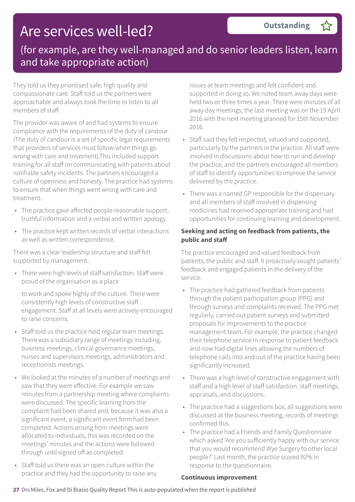## Are services well-led?

### (for example, are they well-managed and do senior leaders listen, learn and take appropriate action)

They told us they prioritised safe, high quality and compassionate care. Staff told us the partners were approachable and always took the time to listen to all members of staff.

The provider was aware of and had systems to ensure compliance with the requirements of the duty of candour. (The duty of candour is a set of specific legal requirements that providers of services must follow when things go wrong with care and treatment).This included support training for all staff on communicating with patients about notifiable safety incidents. The partners encouraged a culture of openness and honesty. The practice had systems to ensure that when things went wrong with care and treatment.

- The practice gave affected people reasonable support, truthful information and a verbal and written apology.
- The practice kept written records of verbal interactions as well as written correspondence.

There was a clear leadership structure and staff felt supported by management.

• There were high levels of staff satisfaction. Staff were proud of the organisation as a place

to work and spoke highly of the culture. There were consistently high levels of constructive staff engagement. Staff at all levels were actively encouraged to raise concerns.

- Staff told us the practice held regular team meetings. There was a subsidiary range of meetings including, business meetings, clinical governance meetings, nurses and supervisors meetings, administrators and receptionists meetings.
- We looked at the minutes of a number of meetings and saw that they were effective. For example we saw minutes from a partnership meeting where complaints were discussed. The specific learning from the complaint had been shared and, because it was also a significant event, a significant event form had been completed. Actions arising from meetings were allocated to individuals, this was recorded on the meetings' minutes and the actions were followed through until signed off as completed.
- Staff told us there was an open culture within the practice and they had the opportunity to raise any

issues at team meetings and felt confident and supported in doing so. We noted team away days were held two or three times a year. There were minutes of all away day meetings; the last meeting was on the 19 April 2016 with the next meeting planned for 15th November 2016.

- Staff said they felt respected, valued and supported, particularly by the partners in the practice. All staff were involved in discussions about how to run and develop the practice, and the partners encouraged all members of staff to identify opportunities to improve the service delivered by the practice.
- There was a named GP responsible for the dispensary and all members of staff involved in dispensing medicines had received appropriate training and had opportunities for continuing learning and development.

### **Seeking and acting on feedback from patients, the public and staff**

The practice encouraged and valued feedback from patients, the public and staff. It proactively sought patients' feedback and engaged patients in the delivery of the service.

- The practice had gathered feedback from patients through the patient participation group (PPG) and through surveys and complaints received. The PPG met regularly, carried out patient surveys and submitted proposals for improvements to the practice management team. For example, the practice changed their telephone service in response to patient feedback and now had digital lines allowing the numbers of telephone calls into and out of the practice having been significantly increased.
- There was a high level of constructive engagement with staff and a high level of staff satisfaction. staff meetings, appraisals, and discussions.
- The practice had a suggestions box, all suggestions were discussed at the business meeting, records of meetings confirmed this.
- The practice had a Friends and Family Questionnaire which asked 'Are you sufficiently happy with our service that you would recommend Wye Surgery to other local people?' Last month, the practice scored 92% in response to the questionnaire.

### **Continuous improvement**